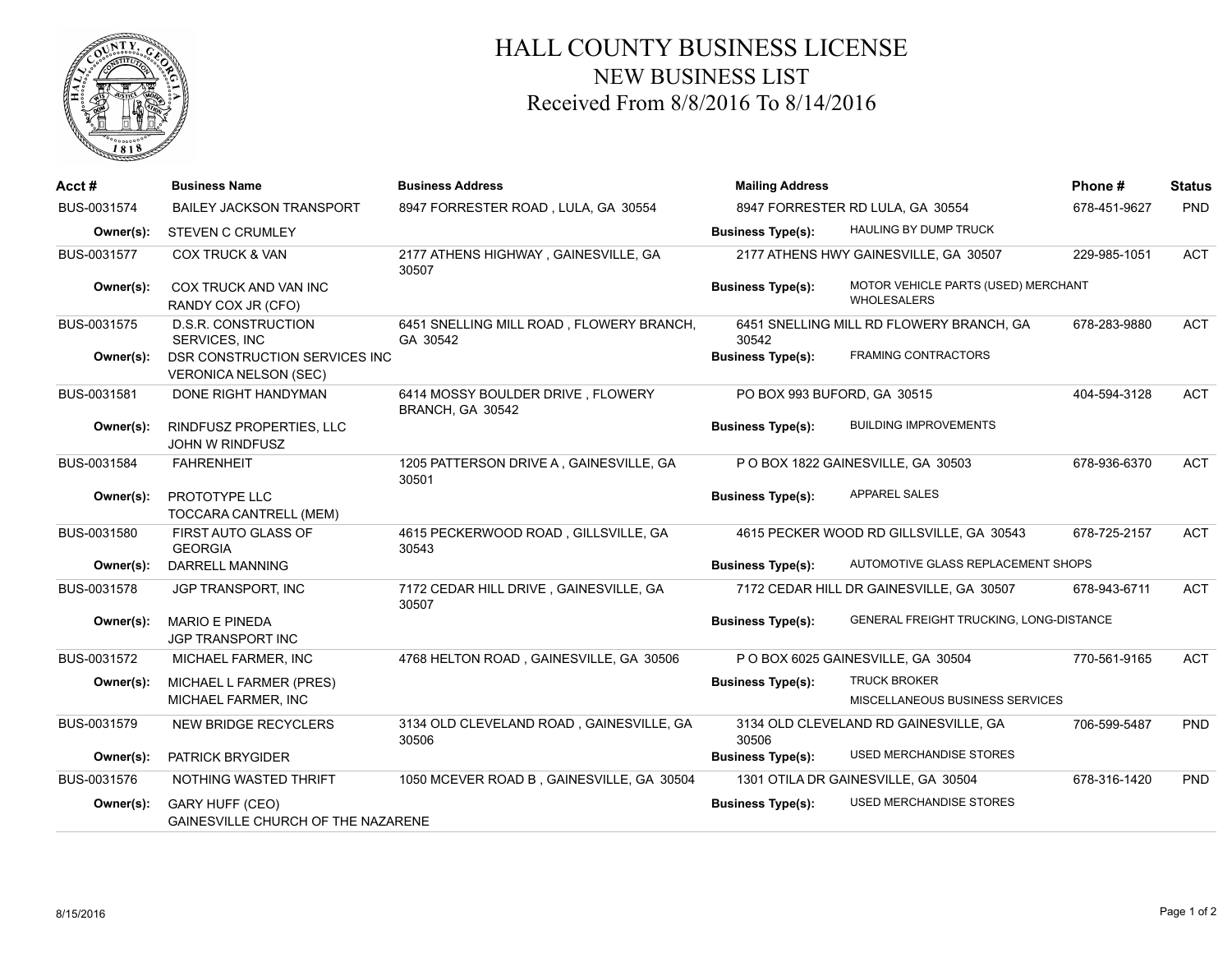

## HALL COUNTY BUSINESS LICENSE NEW BUSINESS LIST Received From 8/8/2016 To 8/14/2016

| Acct#       | <b>Business Name</b>                                                | <b>Business Address</b>                               | <b>Mailing Address</b>      |                                                           | Phone#       | <b>Status</b> |
|-------------|---------------------------------------------------------------------|-------------------------------------------------------|-----------------------------|-----------------------------------------------------------|--------------|---------------|
| BUS-0031574 | <b>BAILEY JACKSON TRANSPORT</b>                                     | 8947 FORRESTER ROAD, LULA, GA 30554                   |                             | 8947 FORRESTER RD LULA, GA 30554                          | 678-451-9627 | PND           |
| Owner(s):   | <b>STEVEN C CRUMLEY</b>                                             |                                                       | <b>Business Type(s):</b>    | <b>HAULING BY DUMP TRUCK</b>                              |              |               |
| BUS-0031577 | <b>COX TRUCK &amp; VAN</b>                                          | 2177 ATHENS HIGHWAY, GAINESVILLE, GA<br>30507         |                             | 2177 ATHENS HWY GAINESVILLE, GA 30507                     | 229-985-1051 | <b>ACT</b>    |
| Owner(s):   | COX TRUCK AND VAN INC<br>RANDY COX JR (CFO)                         |                                                       | <b>Business Type(s):</b>    | MOTOR VEHICLE PARTS (USED) MERCHANT<br><b>WHOLESALERS</b> |              |               |
| BUS-0031575 | D.S.R. CONSTRUCTION<br>SERVICES, INC                                | 6451 SNELLING MILL ROAD, FLOWERY BRANCH,<br>GA 30542  | 30542                       | 6451 SNELLING MILL RD FLOWERY BRANCH, GA                  | 678-283-9880 | <b>ACT</b>    |
| Owner(s):   | DSR CONSTRUCTION SERVICES INC<br><b>VERONICA NELSON (SEC)</b>       |                                                       | <b>Business Type(s):</b>    | <b>FRAMING CONTRACTORS</b>                                |              |               |
| BUS-0031581 | DONE RIGHT HANDYMAN                                                 | 6414 MOSSY BOULDER DRIVE, FLOWERY<br>BRANCH, GA 30542 | PO BOX 993 BUFORD, GA 30515 |                                                           | 404-594-3128 | <b>ACT</b>    |
| Owner(s):   | RINDFUSZ PROPERTIES, LLC<br><b>JOHN W RINDFUSZ</b>                  |                                                       | <b>Business Type(s):</b>    | <b>BUILDING IMPROVEMENTS</b>                              |              |               |
| BUS-0031584 | <b>FAHRENHEIT</b>                                                   | 1205 PATTERSON DRIVE A, GAINESVILLE, GA<br>30501      |                             | PO BOX 1822 GAINESVILLE, GA 30503                         | 678-936-6370 | <b>ACT</b>    |
| Owner(s):   | PROTOTYPE LLC<br>TOCCARA CANTRELL (MEM)                             |                                                       | <b>Business Type(s):</b>    | APPAREL SALES                                             |              |               |
| BUS-0031580 | FIRST AUTO GLASS OF<br><b>GEORGIA</b>                               | 4615 PECKERWOOD ROAD, GILLSVILLE, GA<br>30543         |                             | 4615 PECKER WOOD RD GILLSVILLE, GA 30543                  | 678-725-2157 | <b>ACT</b>    |
| Owner(s):   | DARRELL MANNING                                                     |                                                       | <b>Business Type(s):</b>    | AUTOMOTIVE GLASS REPLACEMENT SHOPS                        |              |               |
| BUS-0031578 | <b>JGP TRANSPORT, INC</b>                                           | 7172 CEDAR HILL DRIVE, GAINESVILLE, GA<br>30507       |                             | 7172 CEDAR HILL DR GAINESVILLE, GA 30507                  | 678-943-6711 | <b>ACT</b>    |
| Owner(s):   | <b>MARIO E PINEDA</b><br><b>JGP TRANSPORT INC</b>                   |                                                       | <b>Business Type(s):</b>    | GENERAL FREIGHT TRUCKING, LONG-DISTANCE                   |              |               |
| BUS-0031572 | MICHAEL FARMER. INC                                                 | 4768 HELTON ROAD, GAINESVILLE, GA 30506               |                             | P O BOX 6025 GAINESVILLE, GA 30504                        | 770-561-9165 | <b>ACT</b>    |
| Owner(s):   | MICHAEL L FARMER (PRES)<br>MICHAEL FARMER, INC                      |                                                       | <b>Business Type(s):</b>    | <b>TRUCK BROKER</b><br>MISCELLANEOUS BUSINESS SERVICES    |              |               |
| BUS-0031579 | <b>NEW BRIDGE RECYCLERS</b>                                         | 3134 OLD CLEVELAND ROAD, GAINESVILLE, GA<br>30506     | 30506                       | 3134 OLD CLEVELAND RD GAINESVILLE, GA                     | 706-599-5487 | <b>PND</b>    |
| Owner(s):   | <b>PATRICK BRYGIDER</b>                                             |                                                       | <b>Business Type(s):</b>    | <b>USED MERCHANDISE STORES</b>                            |              |               |
| BUS-0031576 | NOTHING WASTED THRIFT                                               | 1050 MCEVER ROAD B, GAINESVILLE, GA 30504             |                             | 1301 OTILA DR GAINESVILLE, GA 30504                       | 678-316-1420 | <b>PND</b>    |
| Owner(s):   | <b>GARY HUFF (CEO)</b><br><b>GAINESVILLE CHURCH OF THE NAZARENE</b> |                                                       | <b>Business Type(s):</b>    | <b>USED MERCHANDISE STORES</b>                            |              |               |